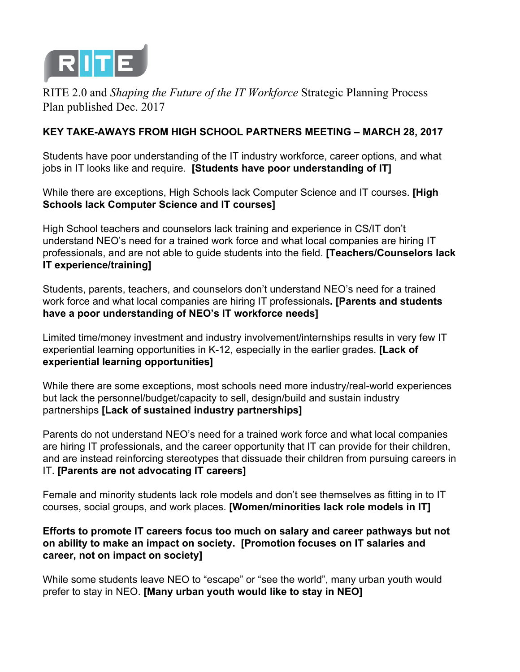

RITE 2.0 and *Shaping the Future of the IT Workforce* Strategic Planning Process Plan published Dec. 2017

## **KEY TAKE-AWAYS FROM HIGH SCHOOL PARTNERS MEETING – MARCH 28, 2017**

Students have poor understanding of the IT industry workforce, career options, and what jobs in IT looks like and require. **[Students have poor understanding of IT]**

While there are exceptions, High Schools lack Computer Science and IT courses. **[High Schools lack Computer Science and IT courses]**

High School teachers and counselors lack training and experience in CS/IT don't understand NEO's need for a trained work force and what local companies are hiring IT professionals, and are not able to guide students into the field. **[Teachers/Counselors lack IT experience/training]**

Students, parents, teachers, and counselors don't understand NEO's need for a trained work force and what local companies are hiring IT professionals**. [Parents and students have a poor understanding of NEO's IT workforce needs]**

Limited time/money investment and industry involvement/internships results in very few IT experiential learning opportunities in K-12, especially in the earlier grades. **[Lack of experiential learning opportunities]**

While there are some exceptions, most schools need more industry/real-world experiences but lack the personnel/budget/capacity to sell, design/build and sustain industry partnerships **[Lack of sustained industry partnerships]**

Parents do not understand NEO's need for a trained work force and what local companies are hiring IT professionals, and the career opportunity that IT can provide for their children, and are instead reinforcing stereotypes that dissuade their children from pursuing careers in IT. **[Parents are not advocating IT careers]**

Female and minority students lack role models and don't see themselves as fitting in to IT courses, social groups, and work places. **[Women/minorities lack role models in IT]**

## **Efforts to promote IT careers focus too much on salary and career pathways but not on ability to make an impact on society. [Promotion focuses on IT salaries and career, not on impact on society]**

While some students leave NEO to "escape" or "see the world", many urban youth would prefer to stay in NEO. **[Many urban youth would like to stay in NEO]**